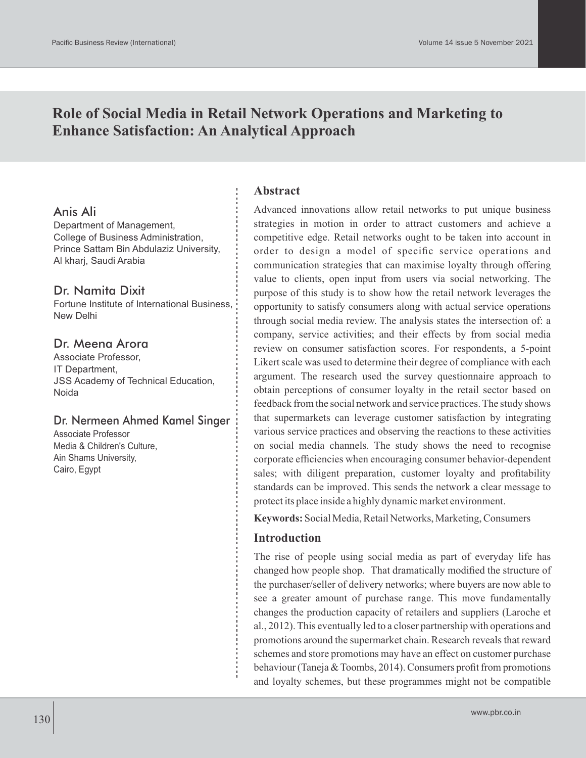# **Role of Social Media in Retail Network Operations and Marketing to Enhance Satisfaction: An Analytical Approach**

### Anis Ali

Department of Management, College of Business Administration, Prince Sattam Bin Abdulaziz University, Al kharj, Saudi Arabia

### Dr. Namita Dixit

Fortune Institute of International Business, New Delhi

### Dr. Meena Arora

Associate Professor, IT Department, JSS Academy of Technical Education, Noida

### Dr. Nermeen Ahmed Kamel Singer

Associate Professor Media & Children's Culture, Ain Shams University, Cairo, Egypt

### **Abstract**

Advanced innovations allow retail networks to put unique business strategies in motion in order to attract customers and achieve a competitive edge. Retail networks ought to be taken into account in order to design a model of specific service operations and communication strategies that can maximise loyalty through offering value to clients, open input from users via social networking. The purpose of this study is to show how the retail network leverages the opportunity to satisfy consumers along with actual service operations through social media review. The analysis states the intersection of: a company, service activities; and their effects by from social media review on consumer satisfaction scores. For respondents, a 5-point Likert scale was used to determine their degree of compliance with each argument. The research used the survey questionnaire approach to obtain perceptions of consumer loyalty in the retail sector based on feedback from the social network and service practices. The study shows that supermarkets can leverage customer satisfaction by integrating various service practices and observing the reactions to these activities on social media channels. The study shows the need to recognise corporate efficiencies when encouraging consumer behavior-dependent sales; with diligent preparation, customer loyalty and profitability standards can be improved. This sends the network a clear message to protect its place inside a highly dynamic market environment.

**Keywords:** Social Media, Retail Networks, Marketing, Consumers

### **Introduction**

The rise of people using social media as part of everyday life has changed how people shop. That dramatically modified the structure of the purchaser/seller of delivery networks; where buyers are now able to see a greater amount of purchase range. This move fundamentally changes the production capacity of retailers and suppliers (Laroche et al., 2012). This eventually led to a closer partnership with operations and promotions around the supermarket chain. Research reveals that reward schemes and store promotions may have an effect on customer purchase behaviour (Taneja & Toombs, 2014). Consumers profit from promotions and loyalty schemes, but these programmes might not be compatible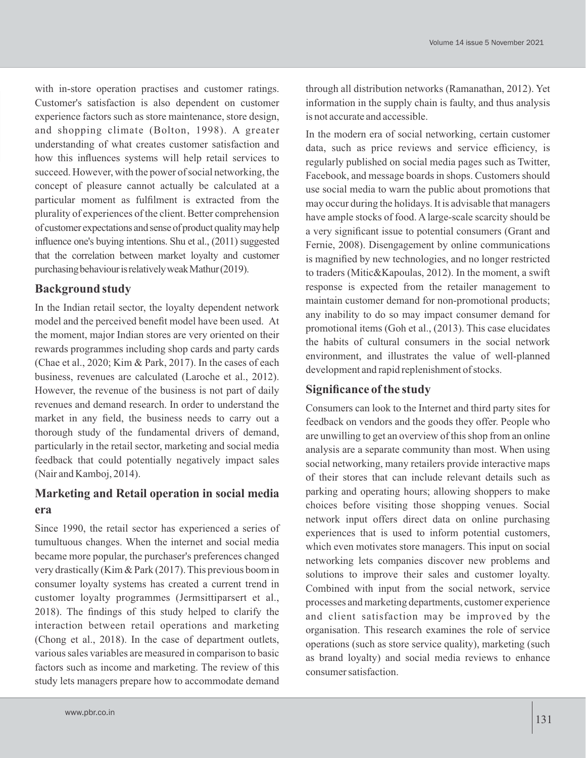with in-store operation practises and customer ratings. Customer's satisfaction is also dependent on customer experience factors such as store maintenance, store design, and shopping climate (Bolton, 1998). A greater understanding of what creates customer satisfaction and how this influences systems will help retail services to succeed. However, with the power of social networking, the concept of pleasure cannot actually be calculated at a particular moment as fulfilment is extracted from the plurality of experiences of the client. Better comprehension of customer expectations and sense of product quality may help influence one's buying intentions. Shu et al., (2011) suggested that the correlation between market loyalty and customer purchasing behaviour is relatively weak Mathur (2019).

### **Background study**

In the Indian retail sector, the loyalty dependent network model and the perceived benefit model have been used. At the moment, major Indian stores are very oriented on their rewards programmes including shop cards and party cards (Chae et al., 2020; Kim & Park, 2017). In the cases of each business, revenues are calculated (Laroche et al., 2012). However, the revenue of the business is not part of daily revenues and demand research. In order to understand the market in any field, the business needs to carry out a thorough study of the fundamental drivers of demand, particularly in the retail sector, marketing and social media feedback that could potentially negatively impact sales (Nair and Kamboj, 2014).

## **Marketing and Retail operation in social media era**

Since 1990, the retail sector has experienced a series of tumultuous changes. When the internet and social media became more popular, the purchaser's preferences changed very drastically (Kim & Park (2017). This previous boom in consumer loyalty systems has created a current trend in customer loyalty programmes (Jermsittiparsert et al., 2018). The findings of this study helped to clarify the interaction between retail operations and marketing (Chong et al., 2018). In the case of department outlets, various sales variables are measured in comparison to basic factors such as income and marketing. The review of this study lets managers prepare how to accommodate demand through all distribution networks (Ramanathan, 2012). Yet information in the supply chain is faulty, and thus analysis is not accurate and accessible.

In the modern era of social networking, certain customer data, such as price reviews and service efficiency, is regularly published on social media pages such as Twitter, Facebook, and message boards in shops. Customers should use social media to warn the public about promotions that may occur during the holidays. It is advisable that managers have ample stocks of food. A large-scale scarcity should be a very significant issue to potential consumers (Grant and Fernie, 2008). Disengagement by online communications is magnified by new technologies, and no longer restricted to traders (Mitic&Kapoulas, 2012). In the moment, a swift response is expected from the retailer management to maintain customer demand for non-promotional products; any inability to do so may impact consumer demand for promotional items (Goh et al., (2013). This case elucidates the habits of cultural consumers in the social network environment, and illustrates the value of well-planned development and rapid replenishment of stocks.

### **Significance of the study**

Consumers can look to the Internet and third party sites for feedback on vendors and the goods they offer. People who are unwilling to get an overview of this shop from an online analysis are a separate community than most. When using social networking, many retailers provide interactive maps of their stores that can include relevant details such as parking and operating hours; allowing shoppers to make choices before visiting those shopping venues. Social network input offers direct data on online purchasing experiences that is used to inform potential customers, which even motivates store managers. This input on social networking lets companies discover new problems and solutions to improve their sales and customer loyalty. Combined with input from the social network, service processes and marketing departments, customer experience and client satisfaction may be improved by the organisation. This research examines the role of service operations (such as store service quality), marketing (such as brand loyalty) and social media reviews to enhance consumer satisfaction.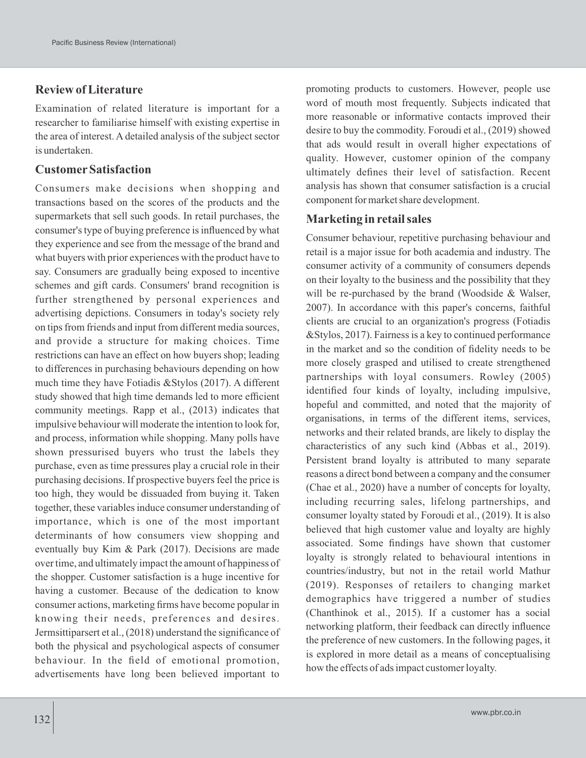### **Review of Literature**

Examination of related literature is important for a researcher to familiarise himself with existing expertise in the area of interest. A detailed analysis of the subject sector is undertaken.

### **CustomerSatisfaction**

Consumers make decisions when shopping and transactions based on the scores of the products and the supermarkets that sell such goods. In retail purchases, the consumer's type of buying preference is influenced by what they experience and see from the message of the brand and what buyers with prior experiences with the product have to say. Consumers are gradually being exposed to incentive schemes and gift cards. Consumers' brand recognition is further strengthened by personal experiences and advertising depictions. Consumers in today's society rely on tips from friends and input from different media sources, and provide a structure for making choices. Time restrictions can have an effect on how buyers shop; leading to differences in purchasing behaviours depending on how much time they have Fotiadis &Stylos (2017). A different study showed that high time demands led to more efficient community meetings. Rapp et al., (2013) indicates that impulsive behaviour will moderate the intention to look for, and process, information while shopping. Many polls have shown pressurised buyers who trust the labels they purchase, even as time pressures play a crucial role in their purchasing decisions. If prospective buyers feel the price is too high, they would be dissuaded from buying it. Taken together, these variables induce consumer understanding of importance, which is one of the most important determinants of how consumers view shopping and eventually buy Kim & Park (2017). Decisions are made over time, and ultimately impact the amount of happiness of the shopper. Customer satisfaction is a huge incentive for having a customer. Because of the dedication to know consumer actions, marketing firms have become popular in knowing their needs, preferences and desires. Jermsittiparsert et al., (2018) understand the significance of both the physical and psychological aspects of consumer behaviour. In the field of emotional promotion, advertisements have long been believed important to

132

promoting products to customers. However, people use word of mouth most frequently. Subjects indicated that more reasonable or informative contacts improved their desire to buy the commodity. Foroudi et al., (2019) showed that ads would result in overall higher expectations of quality. However, customer opinion of the company ultimately defines their level of satisfaction. Recent analysis has shown that consumer satisfaction is a crucial component for market share development.

### **Marketing in retail sales**

Consumer behaviour, repetitive purchasing behaviour and retail is a major issue for both academia and industry. The consumer activity of a community of consumers depends on their loyalty to the business and the possibility that they will be re-purchased by the brand (Woodside & Walser, 2007). In accordance with this paper's concerns, faithful clients are crucial to an organization's progress (Fotiadis &Stylos, 2017). Fairness is a key to continued performance in the market and so the condition of fidelity needs to be more closely grasped and utilised to create strengthened partnerships with loyal consumers. Rowley (2005) identified four kinds of loyalty, including impulsive, hopeful and committed, and noted that the majority of organisations, in terms of the different items, services, networks and their related brands, are likely to display the characteristics of any such kind (Abbas et al., 2019). Persistent brand loyalty is attributed to many separate reasons a direct bond between a company and the consumer (Chae et al., 2020) have a number of concepts for loyalty, including recurring sales, lifelong partnerships, and consumer loyalty stated by Foroudi et al., (2019). It is also believed that high customer value and loyalty are highly associated. Some findings have shown that customer loyalty is strongly related to behavioural intentions in countries/industry, but not in the retail world Mathur (2019). Responses of retailers to changing market demographics have triggered a number of studies (Chanthinok et al., 2015). If a customer has a social networking platform, their feedback can directly influence the preference of new customers. In the following pages, it is explored in more detail as a means of conceptualising how the effects of ads impact customer loyalty.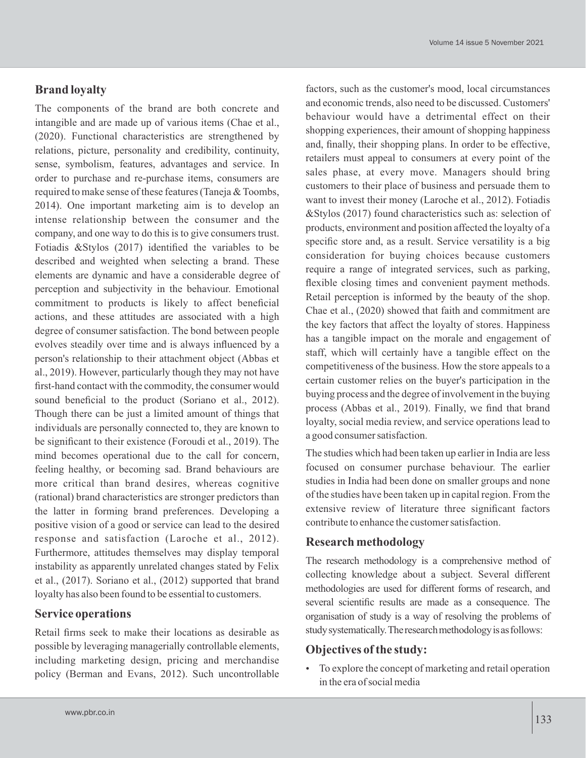#### Volume 14 issue 5 November 2021

factors, such as the customer's mood, local circumstances and economic trends, also need to be discussed. Customers' behaviour would have a detrimental effect on their shopping experiences, their amount of shopping happiness and, finally, their shopping plans. In order to be effective, retailers must appeal to consumers at every point of the sales phase, at every move. Managers should bring customers to their place of business and persuade them to want to invest their money (Laroche et al., 2012). Fotiadis &Stylos (2017) found characteristics such as: selection of products, environment and position affected the loyalty of a specific store and, as a result. Service versatility is a big consideration for buying choices because customers require a range of integrated services, such as parking, flexible closing times and convenient payment methods. Retail perception is informed by the beauty of the shop. Chae et al., (2020) showed that faith and commitment are the key factors that affect the loyalty of stores. Happiness has a tangible impact on the morale and engagement of staff, which will certainly have a tangible effect on the competitiveness of the business. How the store appeals to a certain customer relies on the buyer's participation in the buying process and the degree of involvement in the buying process (Abbas et al., 2019). Finally, we find that brand loyalty, social media review, and service operations lead to a good consumer satisfaction.

The studies which had been taken up earlier in India are less focused on consumer purchase behaviour. The earlier studies in India had been done on smaller groups and none of the studies have been taken up in capital region. From the extensive review of literature three significant factors contribute to enhance the customer satisfaction.

### **Research methodology**

The research methodology is a comprehensive method of collecting knowledge about a subject. Several different methodologies are used for different forms of research, and several scientific results are made as a consequence. The organisation of study is a way of resolving the problems of study systematically. The research methodology is as follows:

#### **Objectives of the study:**

 To explore the concept of marketing and retail operation in the era of social media

### **Brand loyalty**

The components of the brand are both concrete and intangible and are made up of various items (Chae et al., (2020). Functional characteristics are strengthened by relations, picture, personality and credibility, continuity, sense, symbolism, features, advantages and service. In order to purchase and re-purchase items, consumers are required to make sense of these features (Taneja & Toombs, 2014). One important marketing aim is to develop an intense relationship between the consumer and the company, and one way to do this is to give consumers trust. Fotiadis &Stylos (2017) identified the variables to be described and weighted when selecting a brand. These elements are dynamic and have a considerable degree of perception and subjectivity in the behaviour. Emotional commitment to products is likely to affect beneficial actions, and these attitudes are associated with a high degree of consumer satisfaction. The bond between people evolves steadily over time and is always influenced by a person's relationship to their attachment object (Abbas et al., 2019). However, particularly though they may not have first-hand contact with the commodity, the consumer would sound beneficial to the product (Soriano et al., 2012). Though there can be just a limited amount of things that individuals are personally connected to, they are known to be significant to their existence (Foroudi et al., 2019). The mind becomes operational due to the call for concern, feeling healthy, or becoming sad. Brand behaviours are more critical than brand desires, whereas cognitive (rational) brand characteristics are stronger predictors than the latter in forming brand preferences. Developing a positive vision of a good or service can lead to the desired response and satisfaction (Laroche et al., 2012). Furthermore, attitudes themselves may display temporal instability as apparently unrelated changes stated by Felix et al., (2017). Soriano et al., (2012) supported that brand loyalty has also been found to be essential to customers.

### **Service operations**

Retail firms seek to make their locations as desirable as possible by leveraging managerially controllable elements, including marketing design, pricing and merchandise policy (Berman and Evans, 2012). Such uncontrollable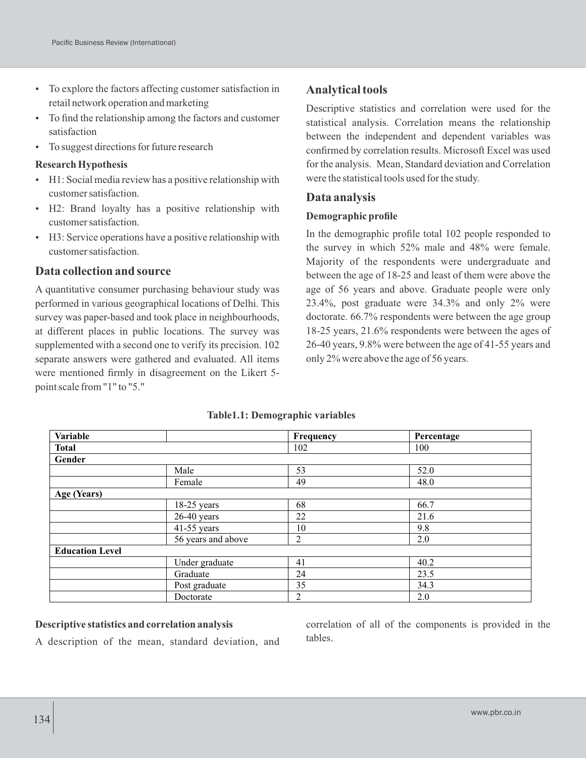- To explore the factors affecting customer satisfaction in retail network operation and marketing
- To find the relationship among the factors and customer satisfaction
- To suggest directions for future research

### **Research Hypothesis**

- H1: Social media review has a positive relationship with customer satisfaction.
- H2: Brand loyalty has a positive relationship with customer satisfaction.
- H3: Service operations have a positive relationship with customer satisfaction.

### **Data collection and source**

A quantitative consumer purchasing behaviour study was performed in various geographical locations of Delhi. This survey was paper-based and took place in neighbourhoods, at different places in public locations. The survey was supplemented with a second one to verify its precision. 102 separate answers were gathered and evaluated. All items were mentioned firmly in disagreement on the Likert 5 point scale from "1" to "5."

## **Analytical tools**

Descriptive statistics and correlation were used for the statistical analysis. Correlation means the relationship between the independent and dependent variables was confirmed by correlation results. Microsoft Excel was used for the analysis. Mean, Standard deviation and Correlation were the statistical tools used for the study.

### **Data analysis**

### **Demographic profile**

In the demographic profile total 102 people responded to the survey in which 52% male and 48% were female. Majority of the respondents were undergraduate and between the age of 18-25 and least of them were above the age of 56 years and above. Graduate people were only 23.4%, post graduate were 34.3% and only 2% were doctorate. 66.7% respondents were between the age group 18-25 years, 21.6% respondents were between the ages of 26-40 years, 9.8% were between the age of 41-55 years and only 2% were above the age of 56 years.

| Variable               |                    | Frequency      | Percentage |  |
|------------------------|--------------------|----------------|------------|--|
| <b>Total</b>           |                    | 102            | 100        |  |
| Gender                 |                    |                |            |  |
|                        | Male               | 53             | 52.0       |  |
|                        | Female             | 49             | 48.0       |  |
| Age (Years)            |                    |                |            |  |
|                        | $18-25$ years      | 68             | 66.7       |  |
|                        | $26-40$ years      | 22             | 21.6       |  |
|                        | $41-55$ years      | 10             | 9.8        |  |
|                        | 56 years and above | $\overline{2}$ | 2.0        |  |
| <b>Education Level</b> |                    |                |            |  |
|                        | Under graduate     | 41             | 40.2       |  |
|                        | Graduate           | 24             | 23.5       |  |
|                        | Post graduate      | 35             | 34.3       |  |
|                        | Doctorate          | $\overline{2}$ | 2.0        |  |

#### **Table1.1: Demographic variables**

#### **Descriptive statistics and correlation analysis**

A description of the mean, standard deviation, and

correlation of all of the components is provided in the tables.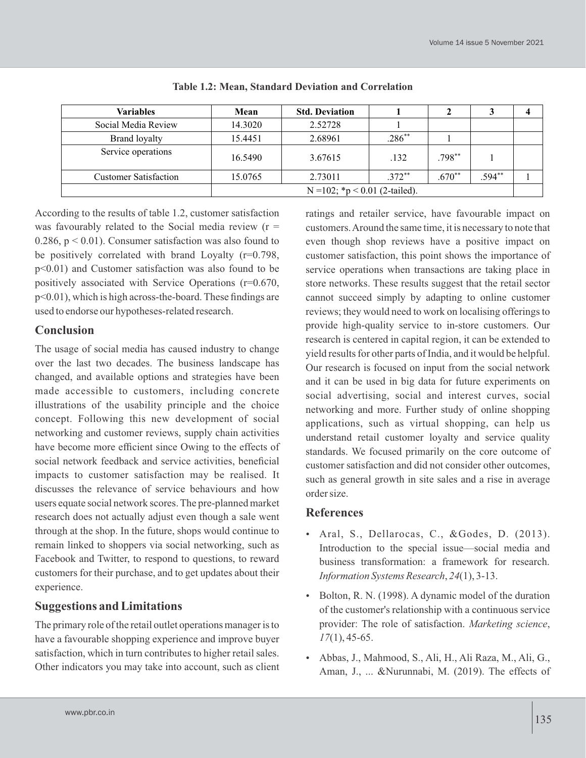| <b>Variables</b>                  | Mean    | <b>Std. Deviation</b> |           |           |          |  |
|-----------------------------------|---------|-----------------------|-----------|-----------|----------|--|
| Social Media Review               | 14.3020 | 2.52728               |           |           |          |  |
| <b>Brand loyalty</b>              | 15.4451 | 2.68961               | $.286***$ |           |          |  |
| Service operations                | 16.5490 | 3.67615               | .132      | $.798***$ |          |  |
| <b>Customer Satisfaction</b>      | 15.0765 | 2.73011               | $.372***$ | $.670**$  | $.594**$ |  |
| N = 102; $*_p$ < 0.01 (2-tailed). |         |                       |           |           |          |  |

| Table 1.2: Mean, Standard Deviation and Correlation |  |  |  |
|-----------------------------------------------------|--|--|--|
|-----------------------------------------------------|--|--|--|

According to the results of table 1.2, customer satisfaction was favourably related to the Social media review  $(r =$ 0.286,  $p < 0.01$ ). Consumer satisfaction was also found to be positively correlated with brand Loyalty (r=0.798, p<0.01) and Customer satisfaction was also found to be positively associated with Service Operations (r=0.670, p<0.01), which is high across-the-board. These findings are used to endorse our hypotheses-related research.

## **Conclusion**

The usage of social media has caused industry to change over the last two decades. The business landscape has changed, and available options and strategies have been made accessible to customers, including concrete illustrations of the usability principle and the choice concept. Following this new development of social networking and customer reviews, supply chain activities have become more efficient since Owing to the effects of social network feedback and service activities, beneficial impacts to customer satisfaction may be realised. It discusses the relevance of service behaviours and how users equate social network scores. The pre-planned market research does not actually adjust even though a sale went through at the shop. In the future, shops would continue to remain linked to shoppers via social networking, such as Facebook and Twitter, to respond to questions, to reward customers for their purchase, and to get updates about their experience.

## **Suggestions and Limitations**

The primary role of the retail outlet operations manager is to have a favourable shopping experience and improve buyer satisfaction, which in turn contributes to higher retail sales. Other indicators you may take into account, such as client

ratings and retailer service, have favourable impact on customers. Around the same time, it is necessary to note that even though shop reviews have a positive impact on customer satisfaction, this point shows the importance of service operations when transactions are taking place in store networks. These results suggest that the retail sector cannot succeed simply by adapting to online customer reviews; they would need to work on localising offerings to provide high-quality service to in-store customers. Our research is centered in capital region, it can be extended to yield results for other parts of India, and it would be helpful. Our research is focused on input from the social network and it can be used in big data for future experiments on social advertising, social and interest curves, social networking and more. Further study of online shopping applications, such as virtual shopping, can help us understand retail customer loyalty and service quality standards. We focused primarily on the core outcome of customer satisfaction and did not consider other outcomes, such as general growth in site sales and a rise in average order size.

## **References**

- Aral, S., Dellarocas, C., &Godes, D. (2013). Introduction to the special issue—social media and business transformation: a framework for research. *Information Systems Research*, *24*(1), 3-13.
- Bolton, R. N. (1998). A dynamic model of the duration of the customer's relationship with a continuous service provider: The role of satisfaction. *Marketing science*, *17*(1), 45-65.
- Abbas, J., Mahmood, S., Ali, H., Ali Raza, M., Ali, G., Aman, J., ... &Nurunnabi, M. (2019). The effects of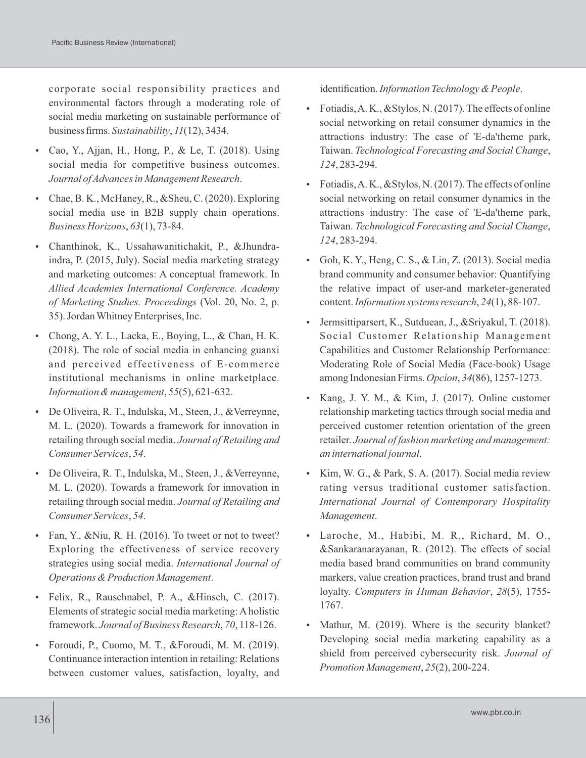corporate social responsibility practices and environmental factors through a moderating role of social media marketing on sustainable performance of business firms. *Sustainability*, *11*(12), 3434.

- Cao, Y., Ajjan, H., Hong, P., & Le, T. (2018). Using social media for competitive business outcomes. *Journal of Advances in Management Research*.
- Chae, B. K., McHaney, R., &Sheu, C. (2020). Exploring social media use in B2B supply chain operations. *Business Horizons*, *63*(1), 73-84.
- Chanthinok, K., Ussahawanitichakit, P., &Jhundraindra, P. (2015, July). Social media marketing strategy and marketing outcomes: A conceptual framework. In *Allied Academies International Conference. Academy of Marketing Studies. Proceedings* (Vol. 20, No. 2, p. 35). Jordan Whitney Enterprises, Inc.
- Chong, A. Y. L., Lacka, E., Boying, L., & Chan, H. K. (2018). The role of social media in enhancing guanxi and perceived effectiveness of E-commerce institutional mechanisms in online marketplace. *Information & management*, *55*(5), 621-632.
- De Oliveira, R. T., Indulska, M., Steen, J., &Verreynne, M. L. (2020). Towards a framework for innovation in retailing through social media. *Journal of Retailing and Consumer Services*, *54*.
- De Oliveira, R. T., Indulska, M., Steen, J., &Verreynne, M. L. (2020). Towards a framework for innovation in retailing through social media. *Journal of Retailing and Consumer Services*, *54*.
- Fan, Y., & Niu, R. H. (2016). To tweet or not to tweet? Exploring the effectiveness of service recovery strategies using social media. *International Journal of Operations & Production Management*.
- Felix, R., Rauschnabel, P. A., &Hinsch, C. (2017). Elements of strategic social media marketing: Aholistic framework. *Journal of Business Research*, *70*, 118-126.
- Foroudi, P., Cuomo, M. T., &Foroudi, M. M. (2019). Continuance interaction intention in retailing: Relations between customer values, satisfaction, loyalty, and

identification. *Information Technology & People*.

- Fotiadis, A. K., &Stylos, N. (2017). The effects of online social networking on retail consumer dynamics in the attractions industry: The case of 'E-da'theme park, Taiwan. *Technological Forecasting and Social Change*, *124*, 283-294.
- Fotiadis, A. K., &Stylos, N. (2017). The effects of online social networking on retail consumer dynamics in the attractions industry: The case of 'E-da'theme park, Taiwan. *Technological Forecasting and Social Change*, *124*, 283-294.
- Goh, K. Y., Heng, C. S.,  $&$  Lin, Z. (2013). Social media brand community and consumer behavior: Quantifying the relative impact of user-and marketer-generated content. *Information systems research*, *24*(1), 88-107.
- Jermsittiparsert, K., Sutduean, J., &Sriyakul, T. (2018). Social Customer Relationship Management Capabilities and Customer Relationship Performance: Moderating Role of Social Media (Face-book) Usage among Indonesian Firms. *Opcion*, *34*(86), 1257-1273.
- Kang, J. Y. M., & Kim, J. (2017). Online customer relationship marketing tactics through social media and perceived customer retention orientation of the green retailer. *Journal of fashion marketing and management: an international journal*.
- Kim, W. G., & Park, S. A. (2017). Social media review rating versus traditional customer satisfaction. *International Journal of Contemporary Hospitality Management*.
- Laroche, M., Habibi, M. R., Richard, M. O., &Sankaranarayanan, R. (2012). The effects of social media based brand communities on brand community markers, value creation practices, brand trust and brand loyalty. *Computers in Human Behavior*, *28*(5), 1755- 1767.
- Mathur, M. (2019). Where is the security blanket? Developing social media marketing capability as a shield from perceived cybersecurity risk. *Journal of Promotion Management*, *25*(2), 200-224.